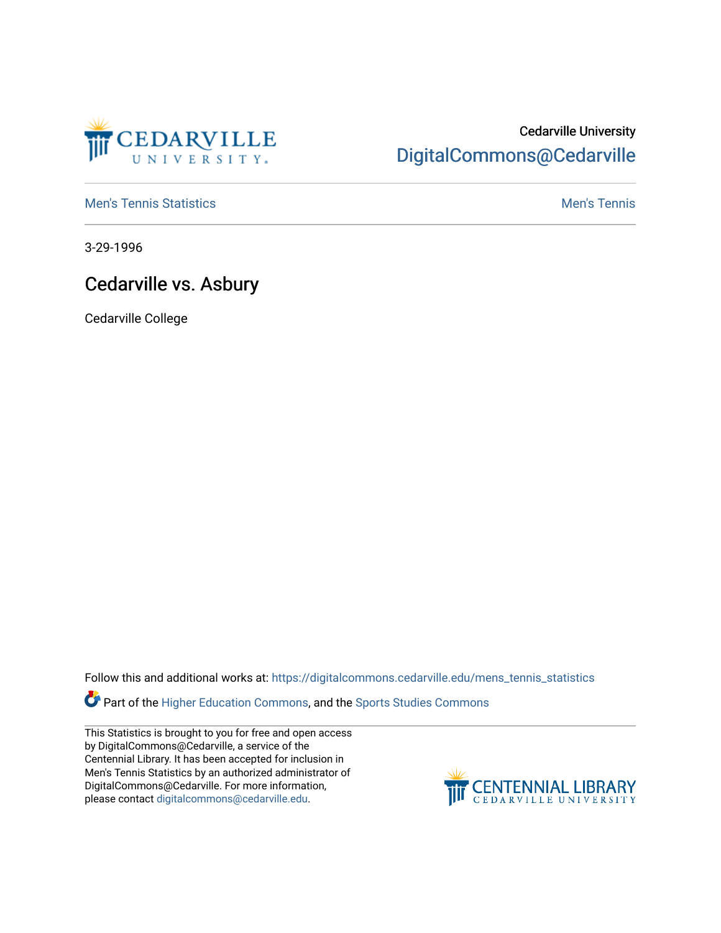

## Cedarville University [DigitalCommons@Cedarville](https://digitalcommons.cedarville.edu/)

**[Men's Tennis Statistics](https://digitalcommons.cedarville.edu/mens_tennis_statistics) Mental According to the Control of Control According Mental Men's Tennis** 

3-29-1996

## Cedarville vs. Asbury

Cedarville College

Follow this and additional works at: [https://digitalcommons.cedarville.edu/mens\\_tennis\\_statistics](https://digitalcommons.cedarville.edu/mens_tennis_statistics?utm_source=digitalcommons.cedarville.edu%2Fmens_tennis_statistics%2F346&utm_medium=PDF&utm_campaign=PDFCoverPages)

**Part of the [Higher Education Commons,](http://network.bepress.com/hgg/discipline/1245?utm_source=digitalcommons.cedarville.edu%2Fmens_tennis_statistics%2F346&utm_medium=PDF&utm_campaign=PDFCoverPages) and the Sports Studies Commons** 

This Statistics is brought to you for free and open access by DigitalCommons@Cedarville, a service of the Centennial Library. It has been accepted for inclusion in Men's Tennis Statistics by an authorized administrator of DigitalCommons@Cedarville. For more information, please contact [digitalcommons@cedarville.edu](mailto:digitalcommons@cedarville.edu).